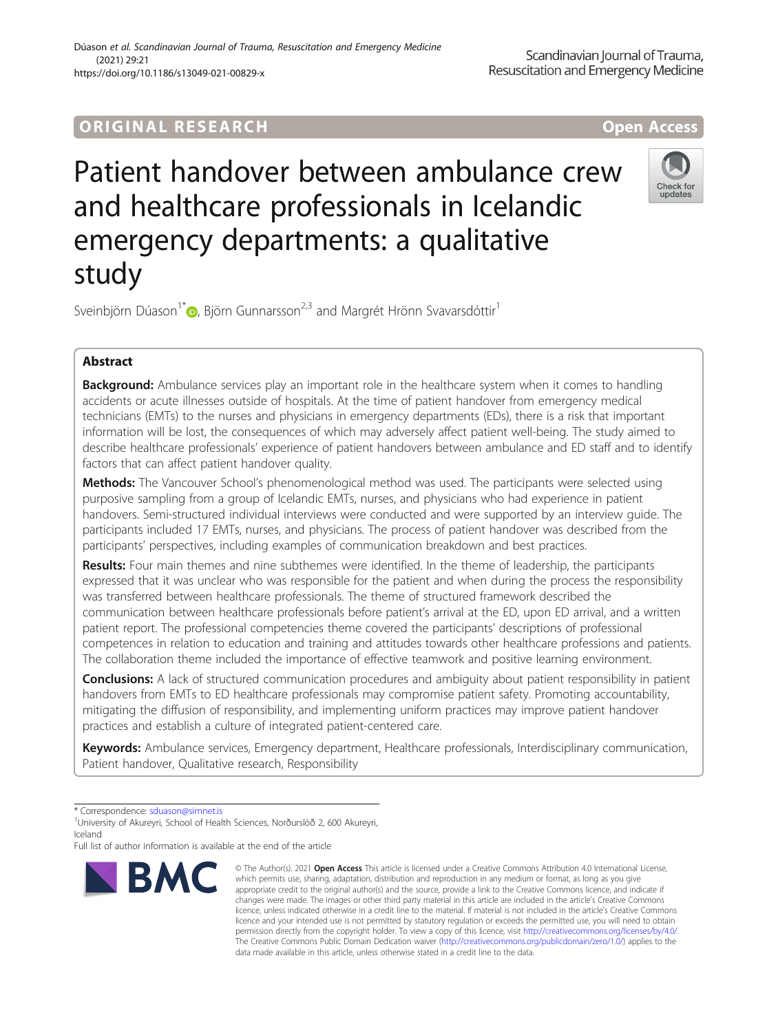# ORIGINA L R E S EA RCH Open Access

# Patient handover between ambulance crew and healthcare professionals in Icelandic emergency departments: a qualitative study



Sveinbjörn Dúason<sup>1\*</sup> $\bullet$ , Björn Gunnarsson<sup>2,3</sup> and Margrét Hrönn Svavarsdóttir<sup>1</sup>

# Abstract

**Background:** Ambulance services play an important role in the healthcare system when it comes to handling accidents or acute illnesses outside of hospitals. At the time of patient handover from emergency medical technicians (EMTs) to the nurses and physicians in emergency departments (EDs), there is a risk that important information will be lost, the consequences of which may adversely affect patient well-being. The study aimed to describe healthcare professionals' experience of patient handovers between ambulance and ED staff and to identify factors that can affect patient handover quality.

Methods: The Vancouver School's phenomenological method was used. The participants were selected using purposive sampling from a group of Icelandic EMTs, nurses, and physicians who had experience in patient handovers. Semi-structured individual interviews were conducted and were supported by an interview guide. The participants included 17 EMTs, nurses, and physicians. The process of patient handover was described from the participants' perspectives, including examples of communication breakdown and best practices.

Results: Four main themes and nine subthemes were identified. In the theme of leadership, the participants expressed that it was unclear who was responsible for the patient and when during the process the responsibility was transferred between healthcare professionals. The theme of structured framework described the communication between healthcare professionals before patient's arrival at the ED, upon ED arrival, and a written patient report. The professional competencies theme covered the participants' descriptions of professional competences in relation to education and training and attitudes towards other healthcare professions and patients. The collaboration theme included the importance of effective teamwork and positive learning environment.

**Conclusions:** A lack of structured communication procedures and ambiguity about patient responsibility in patient handovers from EMTs to ED healthcare professionals may compromise patient safety. Promoting accountability, mitigating the diffusion of responsibility, and implementing uniform practices may improve patient handover practices and establish a culture of integrated patient-centered care.

Keywords: Ambulance services, Emergency department, Healthcare professionals, Interdisciplinary communication, Patient handover, Qualitative research, Responsibility

Full list of author information is available at the end of the article



<sup>©</sup> The Author(s), 2021 **Open Access** This article is licensed under a Creative Commons Attribution 4.0 International License, which permits use, sharing, adaptation, distribution and reproduction in any medium or format, as long as you give appropriate credit to the original author(s) and the source, provide a link to the Creative Commons licence, and indicate if changes were made. The images or other third party material in this article are included in the article's Creative Commons licence, unless indicated otherwise in a credit line to the material. If material is not included in the article's Creative Commons licence and your intended use is not permitted by statutory regulation or exceeds the permitted use, you will need to obtain permission directly from the copyright holder. To view a copy of this licence, visit [http://creativecommons.org/licenses/by/4.0/.](http://creativecommons.org/licenses/by/4.0/) The Creative Commons Public Domain Dedication waiver [\(http://creativecommons.org/publicdomain/zero/1.0/](http://creativecommons.org/publicdomain/zero/1.0/)) applies to the data made available in this article, unless otherwise stated in a credit line to the data.

<sup>\*</sup> Correspondence: [sduason@simnet.is](mailto:sduason@simnet.is) <sup>1</sup>

University of Akureyri, School of Health Sciences, Norðurslóð 2, 600 Akureyri, Iceland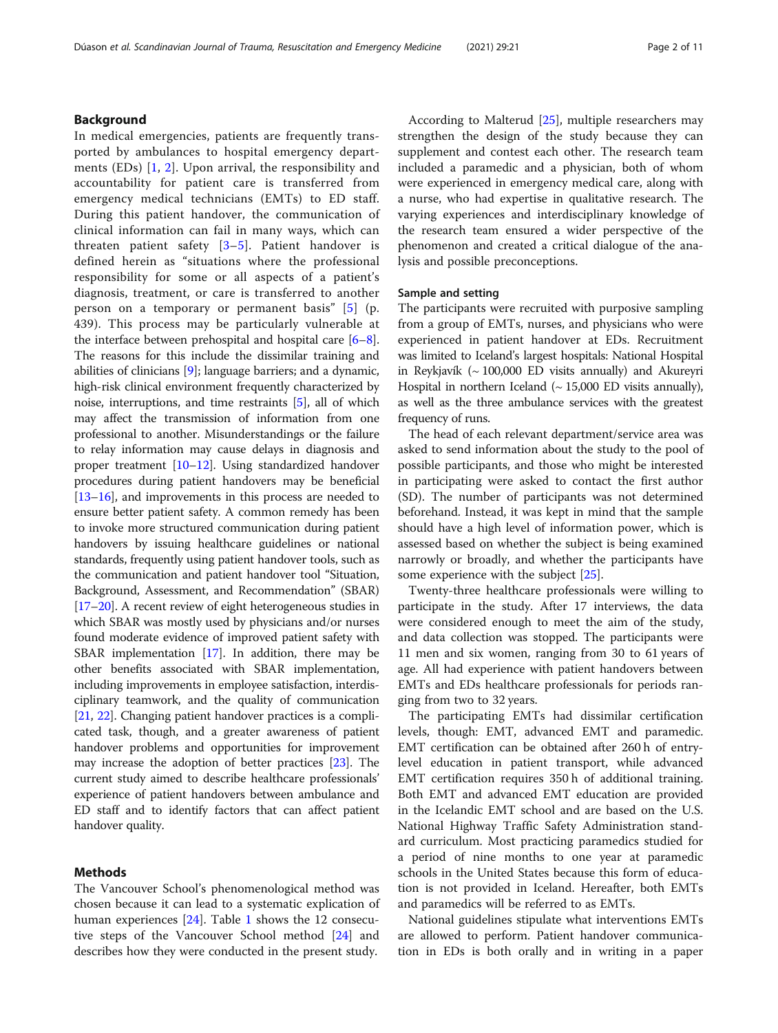# Background

In medical emergencies, patients are frequently transported by ambulances to hospital emergency departments (EDs) [[1,](#page-9-0) [2](#page-9-0)]. Upon arrival, the responsibility and accountability for patient care is transferred from emergency medical technicians (EMTs) to ED staff. During this patient handover, the communication of clinical information can fail in many ways, which can threaten patient safety  $[3-5]$  $[3-5]$  $[3-5]$  $[3-5]$  $[3-5]$ . Patient handover is defined herein as "situations where the professional responsibility for some or all aspects of a patient's diagnosis, treatment, or care is transferred to another person on a temporary or permanent basis" [[5\]](#page-9-0) (p. 439). This process may be particularly vulnerable at the interface between prehospital and hospital care [[6](#page-9-0)–[8](#page-9-0)]. The reasons for this include the dissimilar training and abilities of clinicians [\[9](#page-9-0)]; language barriers; and a dynamic, high-risk clinical environment frequently characterized by noise, interruptions, and time restraints [\[5](#page-9-0)], all of which may affect the transmission of information from one professional to another. Misunderstandings or the failure to relay information may cause delays in diagnosis and proper treatment [\[10](#page-9-0)–[12](#page-9-0)]. Using standardized handover procedures during patient handovers may be beneficial [[13](#page-9-0)–[16\]](#page-9-0), and improvements in this process are needed to ensure better patient safety. A common remedy has been to invoke more structured communication during patient handovers by issuing healthcare guidelines or national standards, frequently using patient handover tools, such as the communication and patient handover tool "Situation, Background, Assessment, and Recommendation" (SBAR) [[17](#page-9-0)–[20\]](#page-9-0). A recent review of eight heterogeneous studies in which SBAR was mostly used by physicians and/or nurses found moderate evidence of improved patient safety with SBAR implementation [[17](#page-9-0)]. In addition, there may be other benefits associated with SBAR implementation, including improvements in employee satisfaction, interdisciplinary teamwork, and the quality of communication [[21](#page-9-0), [22](#page-9-0)]. Changing patient handover practices is a complicated task, though, and a greater awareness of patient handover problems and opportunities for improvement may increase the adoption of better practices [\[23\]](#page-9-0). The current study aimed to describe healthcare professionals' experience of patient handovers between ambulance and ED staff and to identify factors that can affect patient handover quality.

# Methods

The Vancouver School's phenomenological method was chosen because it can lead to a systematic explication of human experiences [[24\]](#page-9-0). Table [1](#page-2-0) shows the 12 consecutive steps of the Vancouver School method [\[24\]](#page-9-0) and describes how they were conducted in the present study.

According to Malterud [[25](#page-9-0)], multiple researchers may strengthen the design of the study because they can supplement and contest each other. The research team included a paramedic and a physician, both of whom were experienced in emergency medical care, along with a nurse, who had expertise in qualitative research. The varying experiences and interdisciplinary knowledge of the research team ensured a wider perspective of the phenomenon and created a critical dialogue of the analysis and possible preconceptions.

# Sample and setting

The participants were recruited with purposive sampling from a group of EMTs, nurses, and physicians who were experienced in patient handover at EDs. Recruitment was limited to Iceland's largest hospitals: National Hospital in Reykjavík ( $\sim 100,000$  ED visits annually) and Akureyri Hospital in northern Iceland  $($  ~ 15,000 ED visits annually), as well as the three ambulance services with the greatest frequency of runs.

The head of each relevant department/service area was asked to send information about the study to the pool of possible participants, and those who might be interested in participating were asked to contact the first author (SD). The number of participants was not determined beforehand. Instead, it was kept in mind that the sample should have a high level of information power, which is assessed based on whether the subject is being examined narrowly or broadly, and whether the participants have some experience with the subject [\[25\]](#page-9-0).

Twenty-three healthcare professionals were willing to participate in the study. After 17 interviews, the data were considered enough to meet the aim of the study, and data collection was stopped. The participants were 11 men and six women, ranging from 30 to 61 years of age. All had experience with patient handovers between EMTs and EDs healthcare professionals for periods ranging from two to 32 years.

The participating EMTs had dissimilar certification levels, though: EMT, advanced EMT and paramedic. EMT certification can be obtained after 260 h of entrylevel education in patient transport, while advanced EMT certification requires 350 h of additional training. Both EMT and advanced EMT education are provided in the Icelandic EMT school and are based on the U.S. National Highway Traffic Safety Administration standard curriculum. Most practicing paramedics studied for a period of nine months to one year at paramedic schools in the United States because this form of education is not provided in Iceland. Hereafter, both EMTs and paramedics will be referred to as EMTs.

National guidelines stipulate what interventions EMTs are allowed to perform. Patient handover communication in EDs is both orally and in writing in a paper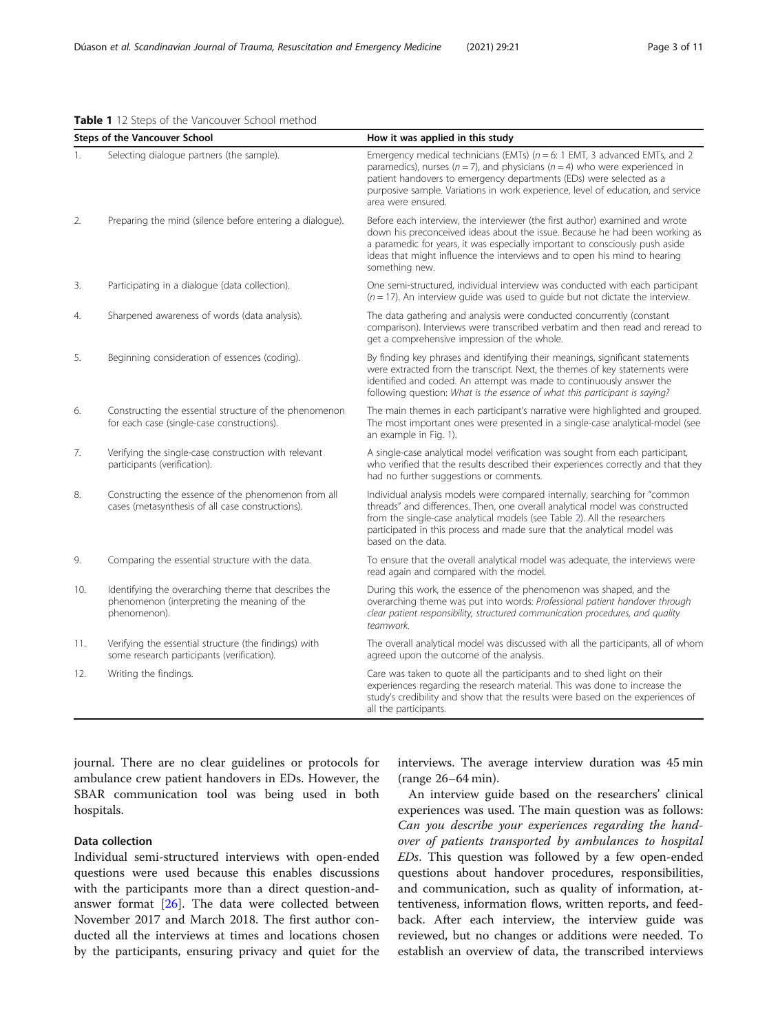# <span id="page-2-0"></span>Table 1 12 Steps of the Vancouver School method

|     | <b>Steps of the Vancouver School</b>                                                                                | How it was applied in this study                                                                                                                                                                                                                                                                                                                       |  |  |  |
|-----|---------------------------------------------------------------------------------------------------------------------|--------------------------------------------------------------------------------------------------------------------------------------------------------------------------------------------------------------------------------------------------------------------------------------------------------------------------------------------------------|--|--|--|
| 1.  | Selecting dialogue partners (the sample).                                                                           | Emergency medical technicians (EMTs) ( $n = 6$ : 1 EMT, 3 advanced EMTs, and 2<br>paramedics), nurses ( $n = 7$ ), and physicians ( $n = 4$ ) who were experienced in<br>patient handovers to emergency departments (EDs) were selected as a<br>purposive sample. Variations in work experience, level of education, and service<br>area were ensured. |  |  |  |
| 2.  | Preparing the mind (silence before entering a dialogue).                                                            | Before each interview, the interviewer (the first author) examined and wrote<br>down his preconceived ideas about the issue. Because he had been working as<br>a paramedic for years, it was especially important to consciously push aside<br>ideas that might influence the interviews and to open his mind to hearing<br>something new.             |  |  |  |
| 3.  | Participating in a dialogue (data collection).                                                                      | One semi-structured, individual interview was conducted with each participant<br>$(n = 17)$ . An interview quide was used to quide but not dictate the interview.                                                                                                                                                                                      |  |  |  |
| 4.  | Sharpened awareness of words (data analysis).                                                                       | The data gathering and analysis were conducted concurrently (constant<br>comparison). Interviews were transcribed verbatim and then read and reread to<br>get a comprehensive impression of the whole.                                                                                                                                                 |  |  |  |
| 5.  | Beginning consideration of essences (coding).                                                                       | By finding key phrases and identifying their meanings, significant statements<br>were extracted from the transcript. Next, the themes of key statements were<br>identified and coded. An attempt was made to continuously answer the<br>following question: What is the essence of what this participant is saying?                                    |  |  |  |
| 6.  | Constructing the essential structure of the phenomenon<br>for each case (single-case constructions).                | The main themes in each participant's narrative were highlighted and grouped.<br>The most important ones were presented in a single-case analytical-model (see<br>an example in Fig. 1).                                                                                                                                                               |  |  |  |
| 7.  | Verifying the single-case construction with relevant<br>participants (verification).                                | A single-case analytical model verification was sought from each participant,<br>who verified that the results described their experiences correctly and that they<br>had no further suggestions or comments.                                                                                                                                          |  |  |  |
| 8.  | Constructing the essence of the phenomenon from all<br>cases (metasynthesis of all case constructions).             | Individual analysis models were compared internally, searching for "common<br>threads" and differences. Then, one overall analytical model was constructed<br>from the single-case analytical models (see Table 2). All the researchers<br>participated in this process and made sure that the analytical model was<br>based on the data.              |  |  |  |
| 9.  | Comparing the essential structure with the data.                                                                    | To ensure that the overall analytical model was adequate, the interviews were<br>read again and compared with the model.                                                                                                                                                                                                                               |  |  |  |
| 10. | Identifying the overarching theme that describes the<br>phenomenon (interpreting the meaning of the<br>phenomenon). | During this work, the essence of the phenomenon was shaped, and the<br>overarching theme was put into words: Professional patient handover through<br>clear patient responsibility, structured communication procedures, and quality<br>teamwork.                                                                                                      |  |  |  |
| 11. | Verifying the essential structure (the findings) with<br>some research participants (verification).                 | The overall analytical model was discussed with all the participants, all of whom<br>agreed upon the outcome of the analysis.                                                                                                                                                                                                                          |  |  |  |
| 12. | Writing the findings.                                                                                               | Care was taken to quote all the participants and to shed light on their<br>experiences regarding the research material. This was done to increase the<br>study's credibility and show that the results were based on the experiences of<br>all the participants.                                                                                       |  |  |  |

journal. There are no clear guidelines or protocols for ambulance crew patient handovers in EDs. However, the SBAR communication tool was being used in both hospitals.

# Data collection

Individual semi-structured interviews with open-ended questions were used because this enables discussions with the participants more than a direct question-andanswer format [\[26](#page-9-0)]. The data were collected between November 2017 and March 2018. The first author conducted all the interviews at times and locations chosen by the participants, ensuring privacy and quiet for the interviews. The average interview duration was 45 min (range 26–64 min).

An interview guide based on the researchers' clinical experiences was used. The main question was as follows: Can you describe your experiences regarding the handover of patients transported by ambulances to hospital EDs. This question was followed by a few open-ended questions about handover procedures, responsibilities, and communication, such as quality of information, attentiveness, information flows, written reports, and feedback. After each interview, the interview guide was reviewed, but no changes or additions were needed. To establish an overview of data, the transcribed interviews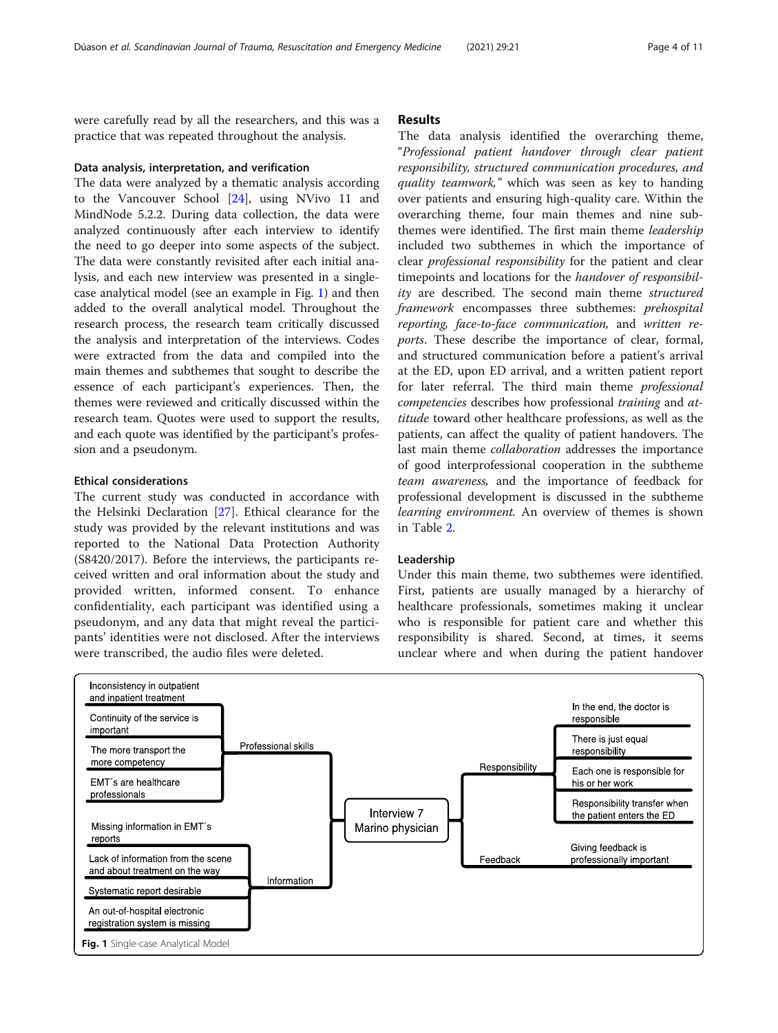<span id="page-3-0"></span>were carefully read by all the researchers, and this was a practice that was repeated throughout the analysis.

# Data analysis, interpretation, and verification

The data were analyzed by a thematic analysis according to the Vancouver School [\[24](#page-9-0)], using NVivo 11 and MindNode 5.2.2. During data collection, the data were analyzed continuously after each interview to identify the need to go deeper into some aspects of the subject. The data were constantly revisited after each initial analysis, and each new interview was presented in a singlecase analytical model (see an example in Fig. 1) and then added to the overall analytical model. Throughout the research process, the research team critically discussed the analysis and interpretation of the interviews. Codes were extracted from the data and compiled into the main themes and subthemes that sought to describe the essence of each participant's experiences. Then, the themes were reviewed and critically discussed within the research team. Quotes were used to support the results, and each quote was identified by the participant's profession and a pseudonym.

# Ethical considerations

The current study was conducted in accordance with the Helsinki Declaration [\[27\]](#page-9-0). Ethical clearance for the study was provided by the relevant institutions and was reported to the National Data Protection Authority (S8420/2017). Before the interviews, the participants received written and oral information about the study and provided written, informed consent. To enhance confidentiality, each participant was identified using a pseudonym, and any data that might reveal the participants' identities were not disclosed. After the interviews were transcribed, the audio files were deleted.

# Results

The data analysis identified the overarching theme, "Professional patient handover through clear patient responsibility, structured communication procedures, and quality teamwork," which was seen as key to handing over patients and ensuring high-quality care. Within the overarching theme, four main themes and nine subthemes were identified. The first main theme *leadership* included two subthemes in which the importance of clear professional responsibility for the patient and clear timepoints and locations for the handover of responsibility are described. The second main theme structured framework encompasses three subthemes: prehospital reporting, face-to-face communication, and written reports. These describe the importance of clear, formal, and structured communication before a patient's arrival at the ED, upon ED arrival, and a written patient report for later referral. The third main theme professional competencies describes how professional training and attitude toward other healthcare professions, as well as the patients, can affect the quality of patient handovers. The last main theme collaboration addresses the importance of good interprofessional cooperation in the subtheme team awareness, and the importance of feedback for professional development is discussed in the subtheme learning environment. An overview of themes is shown in Table [2.](#page-4-0)

# Leadership

Under this main theme, two subthemes were identified. First, patients are usually managed by a hierarchy of healthcare professionals, sometimes making it unclear who is responsible for patient care and whether this responsibility is shared. Second, at times, it seems unclear where and when during the patient handover

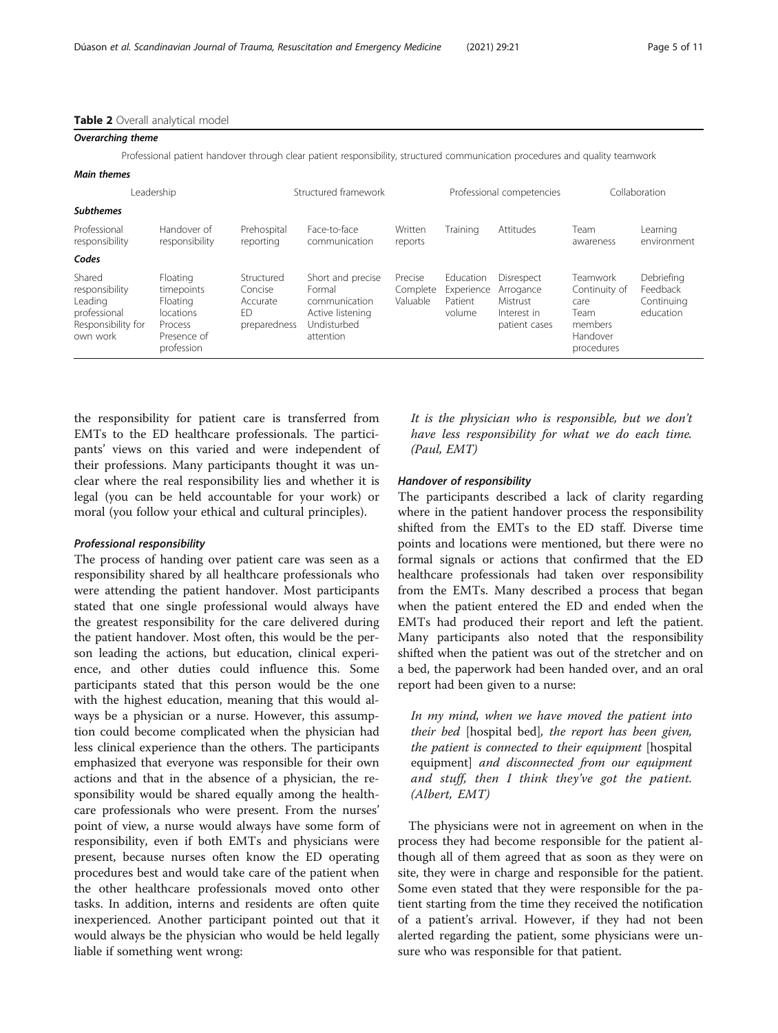#### <span id="page-4-0"></span>Table 2 Overall analytical model

| <b>Overarching theme</b> |  |
|--------------------------|--|
|--------------------------|--|

Professional patient handover through clear patient responsibility, structured communication procedures and quality teamwork

# Main themes

| Leadership                                                                            |                                                                                         |                                                                     | Structured framework                                                                         |                                 | Professional competencies                    |                                                                     | Collaboration                                                                  |                                                   |
|---------------------------------------------------------------------------------------|-----------------------------------------------------------------------------------------|---------------------------------------------------------------------|----------------------------------------------------------------------------------------------|---------------------------------|----------------------------------------------|---------------------------------------------------------------------|--------------------------------------------------------------------------------|---------------------------------------------------|
| <b>Subthemes</b>                                                                      |                                                                                         |                                                                     |                                                                                              |                                 |                                              |                                                                     |                                                                                |                                                   |
| Professional<br>responsibility                                                        | Handover of<br>responsibility                                                           | Prehospital<br>reporting                                            | Face-to-face<br>communication                                                                | Written<br>reports              | Training                                     | Attitudes                                                           | Team<br>awareness                                                              | Learning<br>environment                           |
| Codes                                                                                 |                                                                                         |                                                                     |                                                                                              |                                 |                                              |                                                                     |                                                                                |                                                   |
| Shared<br>responsibility<br>Leading<br>professional<br>Responsibility for<br>own work | Floating<br>timepoints<br>Floating<br>locations<br>Process<br>Presence of<br>profession | Structured<br>Concise<br>Accurate<br>F <sub>D</sub><br>preparedness | Short and precise<br>Formal<br>communication<br>Active listening<br>Undisturbed<br>attention | Precise<br>Complete<br>Valuable | Education<br>Experience<br>Patient<br>volume | Disrespect<br>Arrogance<br>Mistrust<br>Interest in<br>patient cases | Teamwork<br>Continuity of<br>care<br>Team<br>members<br>Handover<br>procedures | Debriefing<br>Feedback<br>Continuing<br>education |

the responsibility for patient care is transferred from EMTs to the ED healthcare professionals. The participants' views on this varied and were independent of their professions. Many participants thought it was unclear where the real responsibility lies and whether it is legal (you can be held accountable for your work) or moral (you follow your ethical and cultural principles).

# Professional responsibility

The process of handing over patient care was seen as a responsibility shared by all healthcare professionals who were attending the patient handover. Most participants stated that one single professional would always have the greatest responsibility for the care delivered during the patient handover. Most often, this would be the person leading the actions, but education, clinical experience, and other duties could influence this. Some participants stated that this person would be the one with the highest education, meaning that this would always be a physician or a nurse. However, this assumption could become complicated when the physician had less clinical experience than the others. The participants emphasized that everyone was responsible for their own actions and that in the absence of a physician, the responsibility would be shared equally among the healthcare professionals who were present. From the nurses' point of view, a nurse would always have some form of responsibility, even if both EMTs and physicians were present, because nurses often know the ED operating procedures best and would take care of the patient when the other healthcare professionals moved onto other tasks. In addition, interns and residents are often quite inexperienced. Another participant pointed out that it would always be the physician who would be held legally liable if something went wrong:

It is the physician who is responsible, but we don't have less responsibility for what we do each time. (Paul, EMT)

# Handover of responsibility

The participants described a lack of clarity regarding where in the patient handover process the responsibility shifted from the EMTs to the ED staff. Diverse time points and locations were mentioned, but there were no formal signals or actions that confirmed that the ED healthcare professionals had taken over responsibility from the EMTs. Many described a process that began when the patient entered the ED and ended when the EMTs had produced their report and left the patient. Many participants also noted that the responsibility shifted when the patient was out of the stretcher and on a bed, the paperwork had been handed over, and an oral report had been given to a nurse:

In my mind, when we have moved the patient into their bed [hospital bed], the report has been given, the patient is connected to their equipment [hospital equipment] and disconnected from our equipment and stuff, then I think they've got the patient. (Albert, EMT)

The physicians were not in agreement on when in the process they had become responsible for the patient although all of them agreed that as soon as they were on site, they were in charge and responsible for the patient. Some even stated that they were responsible for the patient starting from the time they received the notification of a patient's arrival. However, if they had not been alerted regarding the patient, some physicians were unsure who was responsible for that patient.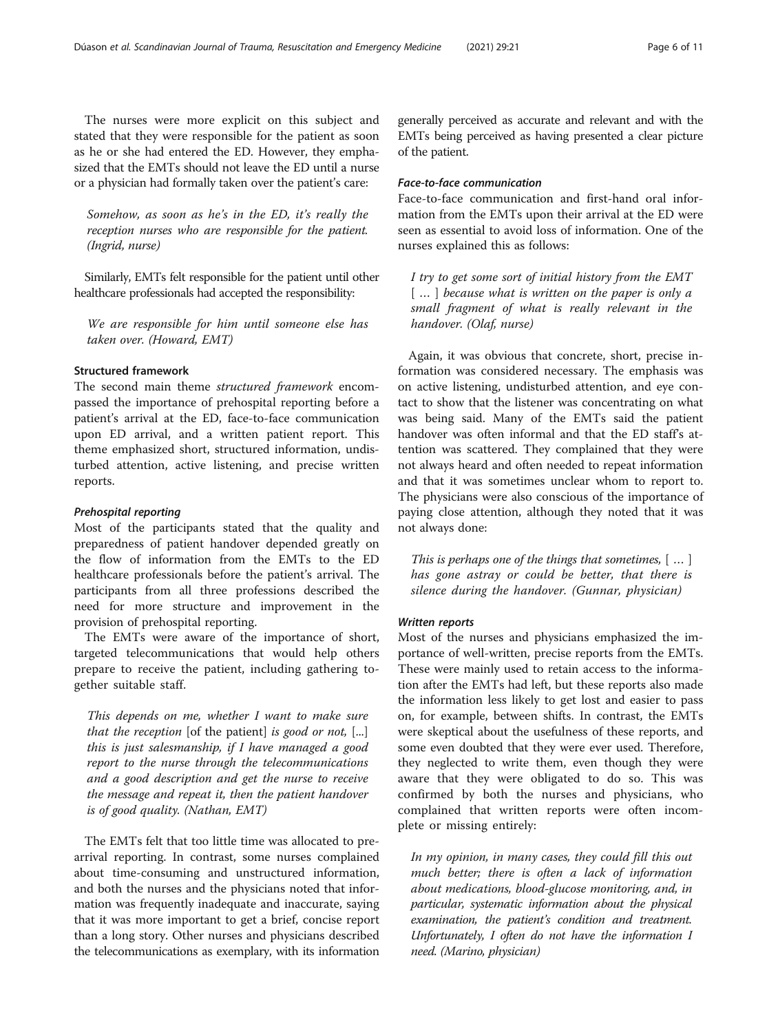The nurses were more explicit on this subject and stated that they were responsible for the patient as soon as he or she had entered the ED. However, they emphasized that the EMTs should not leave the ED until a nurse or a physician had formally taken over the patient's care:

Somehow, as soon as he's in the ED, it's really the reception nurses who are responsible for the patient. (Ingrid, nurse)

Similarly, EMTs felt responsible for the patient until other healthcare professionals had accepted the responsibility:

We are responsible for him until someone else has taken over. (Howard, EMT)

# Structured framework

The second main theme structured framework encompassed the importance of prehospital reporting before a patient's arrival at the ED, face-to-face communication upon ED arrival, and a written patient report. This theme emphasized short, structured information, undisturbed attention, active listening, and precise written reports.

# Prehospital reporting

Most of the participants stated that the quality and preparedness of patient handover depended greatly on the flow of information from the EMTs to the ED healthcare professionals before the patient's arrival. The participants from all three professions described the need for more structure and improvement in the provision of prehospital reporting.

The EMTs were aware of the importance of short, targeted telecommunications that would help others prepare to receive the patient, including gathering together suitable staff.

This depends on me, whether I want to make sure that the reception [of the patient] is good or not,  $[...]$ this is just salesmanship, if I have managed a good report to the nurse through the telecommunications and a good description and get the nurse to receive the message and repeat it, then the patient handover is of good quality. (Nathan, EMT)

The EMTs felt that too little time was allocated to prearrival reporting. In contrast, some nurses complained about time-consuming and unstructured information, and both the nurses and the physicians noted that information was frequently inadequate and inaccurate, saying that it was more important to get a brief, concise report than a long story. Other nurses and physicians described the telecommunications as exemplary, with its information generally perceived as accurate and relevant and with the EMTs being perceived as having presented a clear picture of the patient.

# Face-to-face communication

Face-to-face communication and first-hand oral information from the EMTs upon their arrival at the ED were seen as essential to avoid loss of information. One of the nurses explained this as follows:

I try to get some sort of initial history from the EMT  $\lceil \dots \rceil$  because what is written on the paper is only a small fragment of what is really relevant in the handover. (Olaf, nurse)

Again, it was obvious that concrete, short, precise information was considered necessary. The emphasis was on active listening, undisturbed attention, and eye contact to show that the listener was concentrating on what was being said. Many of the EMTs said the patient handover was often informal and that the ED staff's attention was scattered. They complained that they were not always heard and often needed to repeat information and that it was sometimes unclear whom to report to. The physicians were also conscious of the importance of paying close attention, although they noted that it was not always done:

This is perhaps one of the things that sometimes,  $[$  ...  $]$ has gone astray or could be better, that there is silence during the handover. (Gunnar, physician)

# Written reports

Most of the nurses and physicians emphasized the importance of well-written, precise reports from the EMTs. These were mainly used to retain access to the information after the EMTs had left, but these reports also made the information less likely to get lost and easier to pass on, for example, between shifts. In contrast, the EMTs were skeptical about the usefulness of these reports, and some even doubted that they were ever used. Therefore, they neglected to write them, even though they were aware that they were obligated to do so. This was confirmed by both the nurses and physicians, who complained that written reports were often incomplete or missing entirely:

In my opinion, in many cases, they could fill this out much better; there is often a lack of information about medications, blood-glucose monitoring, and, in particular, systematic information about the physical examination, the patient's condition and treatment. Unfortunately, I often do not have the information I need. (Marino, physician)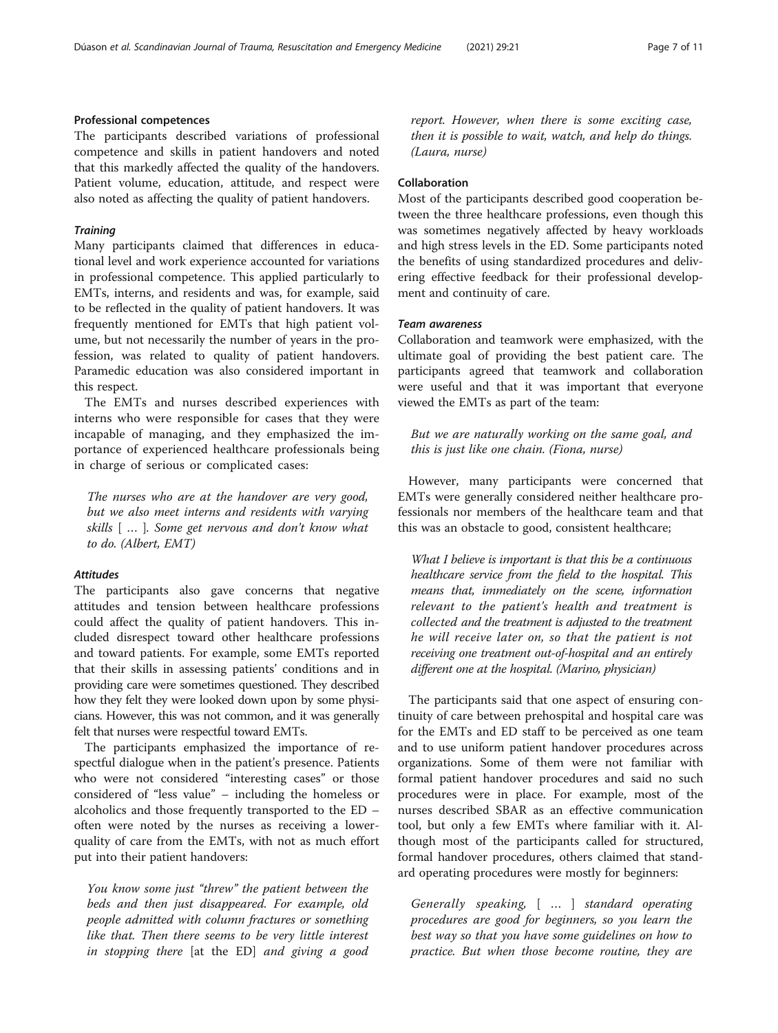# Professional competences

The participants described variations of professional competence and skills in patient handovers and noted that this markedly affected the quality of the handovers. Patient volume, education, attitude, and respect were also noted as affecting the quality of patient handovers.

# **Training**

Many participants claimed that differences in educational level and work experience accounted for variations in professional competence. This applied particularly to EMTs, interns, and residents and was, for example, said to be reflected in the quality of patient handovers. It was frequently mentioned for EMTs that high patient volume, but not necessarily the number of years in the profession, was related to quality of patient handovers. Paramedic education was also considered important in this respect.

The EMTs and nurses described experiences with interns who were responsible for cases that they were incapable of managing, and they emphasized the importance of experienced healthcare professionals being in charge of serious or complicated cases:

The nurses who are at the handover are very good, but we also meet interns and residents with varying skills [ … ]. Some get nervous and don't know what to do. (Albert, EMT)

# **Attitudes**

The participants also gave concerns that negative attitudes and tension between healthcare professions could affect the quality of patient handovers. This included disrespect toward other healthcare professions and toward patients. For example, some EMTs reported that their skills in assessing patients' conditions and in providing care were sometimes questioned. They described how they felt they were looked down upon by some physicians. However, this was not common, and it was generally felt that nurses were respectful toward EMTs.

The participants emphasized the importance of respectful dialogue when in the patient's presence. Patients who were not considered "interesting cases" or those considered of "less value" – including the homeless or alcoholics and those frequently transported to the ED – often were noted by the nurses as receiving a lowerquality of care from the EMTs, with not as much effort put into their patient handovers:

You know some just "threw" the patient between the beds and then just disappeared. For example, old people admitted with column fractures or something like that. Then there seems to be very little interest in stopping there [at the ED] and giving a good report. However, when there is some exciting case, then it is possible to wait, watch, and help do things. (Laura, nurse)

# Collaboration

Most of the participants described good cooperation between the three healthcare professions, even though this was sometimes negatively affected by heavy workloads and high stress levels in the ED. Some participants noted the benefits of using standardized procedures and delivering effective feedback for their professional development and continuity of care.

# Team awareness

Collaboration and teamwork were emphasized, with the ultimate goal of providing the best patient care. The participants agreed that teamwork and collaboration were useful and that it was important that everyone viewed the EMTs as part of the team:

But we are naturally working on the same goal, and this is just like one chain. (Fiona, nurse)

However, many participants were concerned that EMTs were generally considered neither healthcare professionals nor members of the healthcare team and that this was an obstacle to good, consistent healthcare;

What I believe is important is that this be a continuous healthcare service from the field to the hospital. This means that, immediately on the scene, information relevant to the patient's health and treatment is collected and the treatment is adjusted to the treatment he will receive later on, so that the patient is not receiving one treatment out-of-hospital and an entirely different one at the hospital. (Marino, physician)

The participants said that one aspect of ensuring continuity of care between prehospital and hospital care was for the EMTs and ED staff to be perceived as one team and to use uniform patient handover procedures across organizations. Some of them were not familiar with formal patient handover procedures and said no such procedures were in place. For example, most of the nurses described SBAR as an effective communication tool, but only a few EMTs where familiar with it. Although most of the participants called for structured, formal handover procedures, others claimed that standard operating procedures were mostly for beginners:

Generally speaking, [ … ] standard operating procedures are good for beginners, so you learn the best way so that you have some guidelines on how to practice. But when those become routine, they are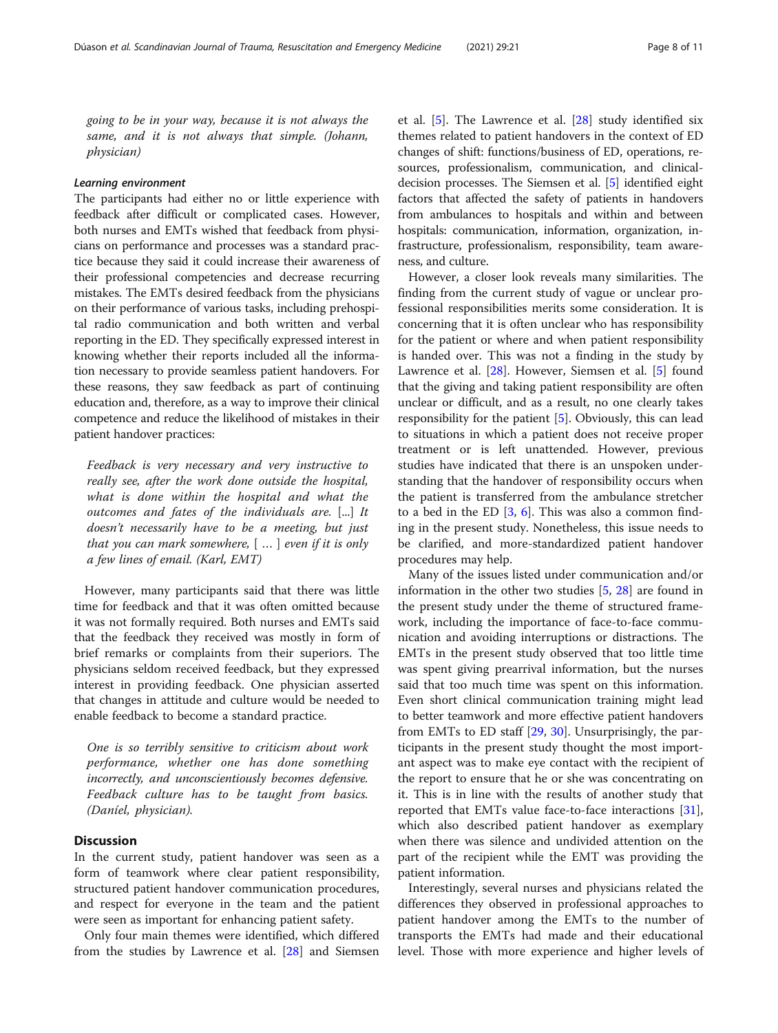going to be in your way, because it is not always the same, and it is not always that simple. (Johann, physician)

# Learning environment

The participants had either no or little experience with feedback after difficult or complicated cases. However, both nurses and EMTs wished that feedback from physicians on performance and processes was a standard practice because they said it could increase their awareness of their professional competencies and decrease recurring mistakes. The EMTs desired feedback from the physicians on their performance of various tasks, including prehospital radio communication and both written and verbal reporting in the ED. They specifically expressed interest in knowing whether their reports included all the information necessary to provide seamless patient handovers. For these reasons, they saw feedback as part of continuing education and, therefore, as a way to improve their clinical competence and reduce the likelihood of mistakes in their patient handover practices:

Feedback is very necessary and very instructive to really see, after the work done outside the hospital, what is done within the hospital and what the outcomes and fates of the individuals are. [...] It doesn't necessarily have to be a meeting, but just that you can mark somewhere,  $[$  ...  $]$  even if it is only a few lines of email. (Karl, EMT)

However, many participants said that there was little time for feedback and that it was often omitted because it was not formally required. Both nurses and EMTs said that the feedback they received was mostly in form of brief remarks or complaints from their superiors. The physicians seldom received feedback, but they expressed interest in providing feedback. One physician asserted that changes in attitude and culture would be needed to enable feedback to become a standard practice.

One is so terribly sensitive to criticism about work performance, whether one has done something incorrectly, and unconscientiously becomes defensive. Feedback culture has to be taught from basics. (Daníel, physician).

# **Discussion**

In the current study, patient handover was seen as a form of teamwork where clear patient responsibility, structured patient handover communication procedures, and respect for everyone in the team and the patient were seen as important for enhancing patient safety.

Only four main themes were identified, which differed from the studies by Lawrence et al. [\[28](#page-9-0)] and Siemsen et al. [\[5](#page-9-0)]. The Lawrence et al. [[28\]](#page-9-0) study identified six themes related to patient handovers in the context of ED changes of shift: functions/business of ED, operations, resources, professionalism, communication, and clinicaldecision processes. The Siemsen et al. [[5](#page-9-0)] identified eight factors that affected the safety of patients in handovers from ambulances to hospitals and within and between hospitals: communication, information, organization, infrastructure, professionalism, responsibility, team awareness, and culture.

However, a closer look reveals many similarities. The finding from the current study of vague or unclear professional responsibilities merits some consideration. It is concerning that it is often unclear who has responsibility for the patient or where and when patient responsibility is handed over. This was not a finding in the study by Lawrence et al. [\[28](#page-9-0)]. However, Siemsen et al. [[5\]](#page-9-0) found that the giving and taking patient responsibility are often unclear or difficult, and as a result, no one clearly takes responsibility for the patient [\[5](#page-9-0)]. Obviously, this can lead to situations in which a patient does not receive proper treatment or is left unattended. However, previous studies have indicated that there is an unspoken understanding that the handover of responsibility occurs when the patient is transferred from the ambulance stretcher to a bed in the ED  $[3, 6]$  $[3, 6]$  $[3, 6]$  $[3, 6]$ . This was also a common finding in the present study. Nonetheless, this issue needs to be clarified, and more-standardized patient handover procedures may help.

Many of the issues listed under communication and/or information in the other two studies [\[5](#page-9-0), [28](#page-9-0)] are found in the present study under the theme of structured framework, including the importance of face-to-face communication and avoiding interruptions or distractions. The EMTs in the present study observed that too little time was spent giving prearrival information, but the nurses said that too much time was spent on this information. Even short clinical communication training might lead to better teamwork and more effective patient handovers from EMTs to ED staff [[29](#page-9-0), [30\]](#page-9-0). Unsurprisingly, the participants in the present study thought the most important aspect was to make eye contact with the recipient of the report to ensure that he or she was concentrating on it. This is in line with the results of another study that reported that EMTs value face-to-face interactions [\[31](#page-10-0)], which also described patient handover as exemplary when there was silence and undivided attention on the part of the recipient while the EMT was providing the patient information.

Interestingly, several nurses and physicians related the differences they observed in professional approaches to patient handover among the EMTs to the number of transports the EMTs had made and their educational level. Those with more experience and higher levels of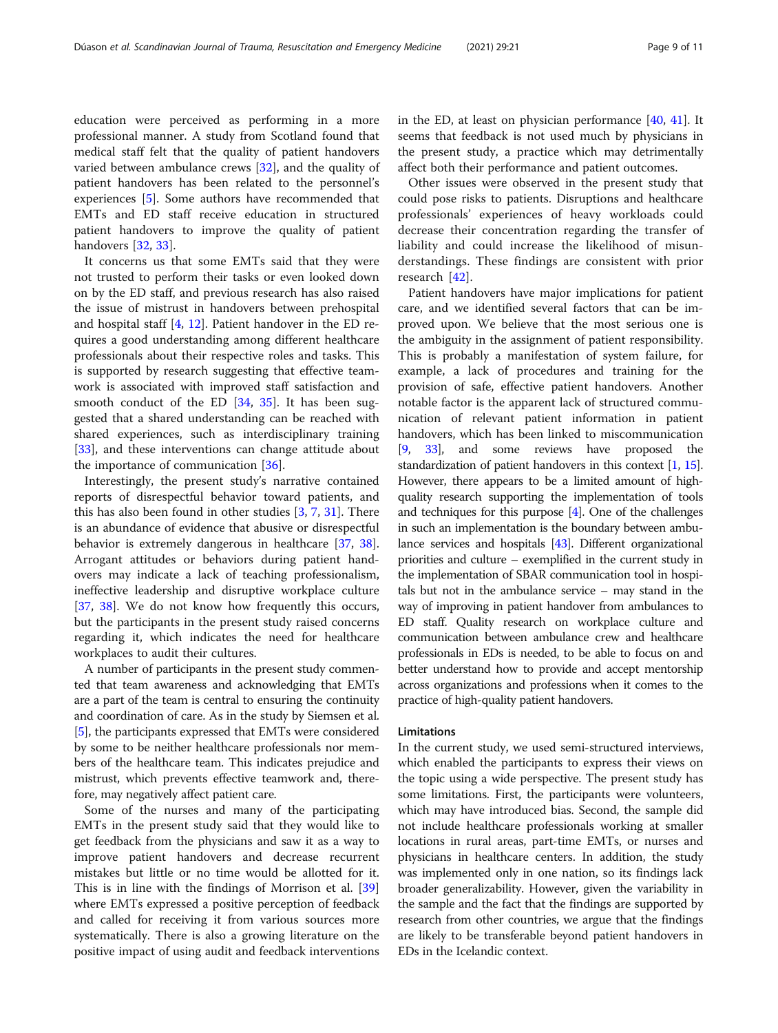education were perceived as performing in a more professional manner. A study from Scotland found that medical staff felt that the quality of patient handovers varied between ambulance crews [[32\]](#page-10-0), and the quality of patient handovers has been related to the personnel's experiences [[5\]](#page-9-0). Some authors have recommended that EMTs and ED staff receive education in structured patient handovers to improve the quality of patient handovers [[32](#page-10-0), [33](#page-10-0)].

It concerns us that some EMTs said that they were not trusted to perform their tasks or even looked down on by the ED staff, and previous research has also raised the issue of mistrust in handovers between prehospital and hospital staff [[4,](#page-9-0) [12\]](#page-9-0). Patient handover in the ED requires a good understanding among different healthcare professionals about their respective roles and tasks. This is supported by research suggesting that effective teamwork is associated with improved staff satisfaction and smooth conduct of the ED [[34,](#page-10-0) [35\]](#page-10-0). It has been suggested that a shared understanding can be reached with shared experiences, such as interdisciplinary training [[33\]](#page-10-0), and these interventions can change attitude about the importance of communication [\[36](#page-10-0)].

Interestingly, the present study's narrative contained reports of disrespectful behavior toward patients, and this has also been found in other studies  $[3, 7, 31]$  $[3, 7, 31]$  $[3, 7, 31]$  $[3, 7, 31]$  $[3, 7, 31]$  $[3, 7, 31]$ . There is an abundance of evidence that abusive or disrespectful behavior is extremely dangerous in healthcare [\[37,](#page-10-0) [38](#page-10-0)]. Arrogant attitudes or behaviors during patient handovers may indicate a lack of teaching professionalism, ineffective leadership and disruptive workplace culture [[37,](#page-10-0) [38](#page-10-0)]. We do not know how frequently this occurs, but the participants in the present study raised concerns regarding it, which indicates the need for healthcare workplaces to audit their cultures.

A number of participants in the present study commented that team awareness and acknowledging that EMTs are a part of the team is central to ensuring the continuity and coordination of care. As in the study by Siemsen et al. [[5\]](#page-9-0), the participants expressed that EMTs were considered by some to be neither healthcare professionals nor members of the healthcare team. This indicates prejudice and mistrust, which prevents effective teamwork and, therefore, may negatively affect patient care.

Some of the nurses and many of the participating EMTs in the present study said that they would like to get feedback from the physicians and saw it as a way to improve patient handovers and decrease recurrent mistakes but little or no time would be allotted for it. This is in line with the findings of Morrison et al. [[39](#page-10-0)] where EMTs expressed a positive perception of feedback and called for receiving it from various sources more systematically. There is also a growing literature on the positive impact of using audit and feedback interventions in the ED, at least on physician performance [[40,](#page-10-0) [41](#page-10-0)]. It seems that feedback is not used much by physicians in the present study, a practice which may detrimentally affect both their performance and patient outcomes.

Other issues were observed in the present study that could pose risks to patients. Disruptions and healthcare professionals' experiences of heavy workloads could decrease their concentration regarding the transfer of liability and could increase the likelihood of misunderstandings. These findings are consistent with prior research [[42\]](#page-10-0).

Patient handovers have major implications for patient care, and we identified several factors that can be improved upon. We believe that the most serious one is the ambiguity in the assignment of patient responsibility. This is probably a manifestation of system failure, for example, a lack of procedures and training for the provision of safe, effective patient handovers. Another notable factor is the apparent lack of structured communication of relevant patient information in patient handovers, which has been linked to miscommunication [[9](#page-9-0), [33](#page-10-0)], and some reviews have proposed the standardization of patient handovers in this context [\[1](#page-9-0), [15](#page-9-0)]. However, there appears to be a limited amount of highquality research supporting the implementation of tools and techniques for this purpose [\[4\]](#page-9-0). One of the challenges in such an implementation is the boundary between ambulance services and hospitals [\[43](#page-10-0)]. Different organizational priorities and culture – exemplified in the current study in the implementation of SBAR communication tool in hospitals but not in the ambulance service – may stand in the way of improving in patient handover from ambulances to ED staff. Quality research on workplace culture and communication between ambulance crew and healthcare professionals in EDs is needed, to be able to focus on and better understand how to provide and accept mentorship across organizations and professions when it comes to the practice of high-quality patient handovers.

#### Limitations

In the current study, we used semi-structured interviews, which enabled the participants to express their views on the topic using a wide perspective. The present study has some limitations. First, the participants were volunteers, which may have introduced bias. Second, the sample did not include healthcare professionals working at smaller locations in rural areas, part-time EMTs, or nurses and physicians in healthcare centers. In addition, the study was implemented only in one nation, so its findings lack broader generalizability. However, given the variability in the sample and the fact that the findings are supported by research from other countries, we argue that the findings are likely to be transferable beyond patient handovers in EDs in the Icelandic context.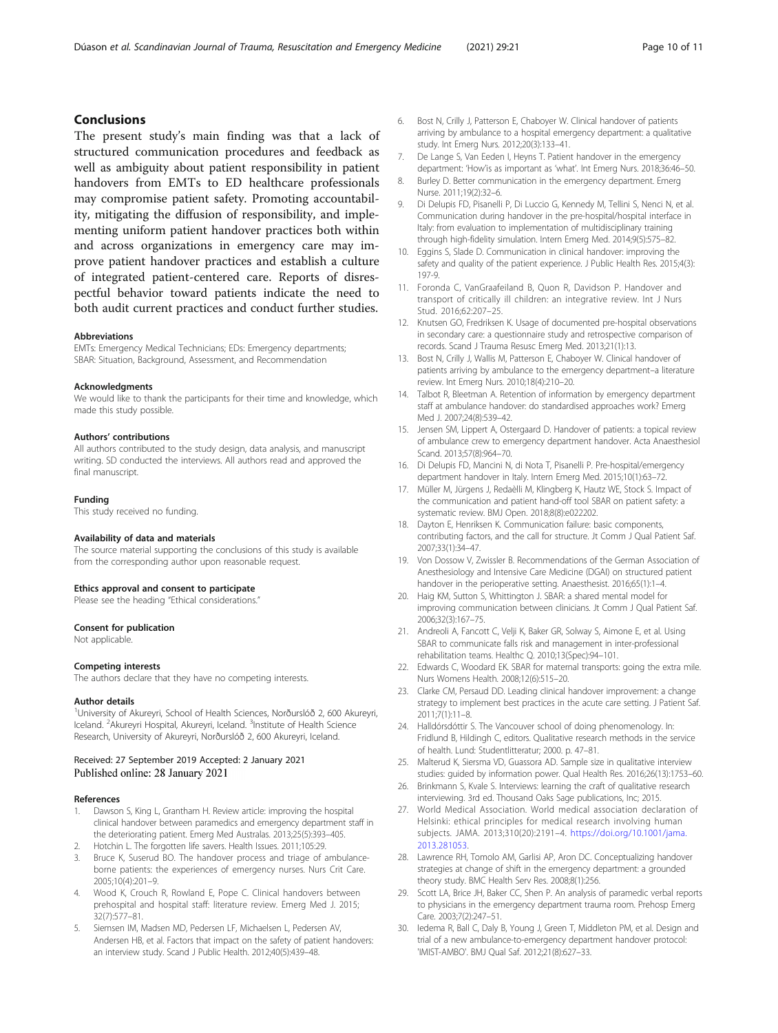# <span id="page-9-0"></span>Conclusions

The present study's main finding was that a lack of structured communication procedures and feedback as well as ambiguity about patient responsibility in patient handovers from EMTs to ED healthcare professionals may compromise patient safety. Promoting accountability, mitigating the diffusion of responsibility, and implementing uniform patient handover practices both within and across organizations in emergency care may improve patient handover practices and establish a culture of integrated patient-centered care. Reports of disrespectful behavior toward patients indicate the need to both audit current practices and conduct further studies.

#### Abbreviations

EMTs: Emergency Medical Technicians; EDs: Emergency departments; SBAR: Situation, Background, Assessment, and Recommendation

#### Acknowledgments

We would like to thank the participants for their time and knowledge, which made this study possible.

#### Authors' contributions

All authors contributed to the study design, data analysis, and manuscript writing. SD conducted the interviews. All authors read and approved the final manuscript.

#### Funding

This study received no funding.

#### Availability of data and materials

The source material supporting the conclusions of this study is available from the corresponding author upon reasonable request.

#### Ethics approval and consent to participate

Please see the heading "Ethical considerations."

#### Consent for publication

Not applicable.

#### Competing interests

The authors declare that they have no competing interests.

#### Author details

1 University of Akureyri, School of Health Sciences, Norðurslóð 2, 600 Akureyri, Iceland. <sup>2</sup> Akureyri Hospital, Akureyri, Iceland. <sup>3</sup>Institute of Health Science Research, University of Akureyri, Norðurslóð 2, 600 Akureyri, Iceland.

# Received: 27 September 2019 Accepted: 2 January 2021 Published online: 28 January 2021

#### References

- Dawson S, King L, Grantham H. Review article: improving the hospital clinical handover between paramedics and emergency department staff in the deteriorating patient. Emerg Med Australas. 2013;25(5):393–405.
- 2. Hotchin L. The forgotten life savers. Health Issues. 2011;105:29.
- 3. Bruce K, Suserud BO. The handover process and triage of ambulanceborne patients: the experiences of emergency nurses. Nurs Crit Care. 2005;10(4):201–9.
- 4. Wood K, Crouch R, Rowland E, Pope C. Clinical handovers between prehospital and hospital staff: literature review. Emerg Med J. 2015; 32(7):577–81.
- 5. Siemsen IM, Madsen MD, Pedersen LF, Michaelsen L, Pedersen AV, Andersen HB, et al. Factors that impact on the safety of patient handovers: an interview study. Scand J Public Health. 2012;40(5):439–48.
- 6. Bost N, Crilly J, Patterson E, Chaboyer W. Clinical handover of patients arriving by ambulance to a hospital emergency department: a qualitative study. Int Emerg Nurs. 2012;20(3):133–41.
- 7. De Lange S, Van Eeden I, Heyns T. Patient handover in the emergency department: 'How'is as important as 'what'. Int Emerg Nurs. 2018;36:46–50.
- 8. Burley D. Better communication in the emergency department. Emerg Nurse. 2011;19(2):32–6.
- 9. Di Delupis FD, Pisanelli P, Di Luccio G, Kennedy M, Tellini S, Nenci N, et al. Communication during handover in the pre-hospital/hospital interface in Italy: from evaluation to implementation of multidisciplinary training through high-fidelity simulation. Intern Emerg Med. 2014;9(5):575–82.
- 10. Eggins S, Slade D, Communication in clinical handover: improving the safety and quality of the patient experience. J Public Health Res. 2015;4(3): 197-9.
- 11. Foronda C, VanGraafeiland B, Quon R, Davidson P. Handover and transport of critically ill children: an integrative review. Int J Nurs Stud. 2016;62:207–25.
- 12. Knutsen GO, Fredriksen K. Usage of documented pre-hospital observations in secondary care: a questionnaire study and retrospective comparison of records. Scand J Trauma Resusc Emerg Med. 2013;21(1):13.
- 13. Bost N, Crilly J, Wallis M, Patterson E, Chaboyer W. Clinical handover of patients arriving by ambulance to the emergency department–a literature review. Int Emerg Nurs. 2010;18(4):210–20.
- 14. Talbot R, Bleetman A. Retention of information by emergency department staff at ambulance handover: do standardised approaches work? Emerg Med | 2007;24(8):539-42.
- 15. Jensen SM, Lippert A, Ostergaard D. Handover of patients: a topical review of ambulance crew to emergency department handover. Acta Anaesthesiol Scand. 2013;57(8):964–70.
- 16. Di Delupis FD, Mancini N, di Nota T, Pisanelli P. Pre-hospital/emergency department handover in Italy. Intern Emerg Med. 2015;10(1):63–72.
- 17. Müller M, Jürgens J, Redaèlli M, Klingberg K, Hautz WE, Stock S. Impact of the communication and patient hand-off tool SBAR on patient safety: a systematic review. BMJ Open. 2018;8(8):e022202.
- 18. Dayton E, Henriksen K. Communication failure: basic components, contributing factors, and the call for structure. Jt Comm J Qual Patient Saf. 2007;33(1):34–47.
- 19. Von Dossow V, Zwissler B. Recommendations of the German Association of Anesthesiology and Intensive Care Medicine (DGAI) on structured patient handover in the perioperative setting. Anaesthesist. 2016;65(1):1–4.
- 20. Haig KM, Sutton S, Whittington J. SBAR: a shared mental model for improving communication between clinicians. Jt Comm J Qual Patient Saf. 2006;32(3):167–75.
- 21. Andreoli A, Fancott C, Velji K, Baker GR, Solway S, Aimone E, et al. Using SBAR to communicate falls risk and management in inter-professional rehabilitation teams. Healthc Q. 2010;13(Spec):94–101.
- 22. Edwards C, Woodard EK. SBAR for maternal transports: going the extra mile. Nurs Womens Health. 2008;12(6):515–20.
- 23. Clarke CM, Persaud DD. Leading clinical handover improvement: a change strategy to implement best practices in the acute care setting. J Patient Saf. 2011;7(1):11–8.
- 24. Halldórsdóttir S. The Vancouver school of doing phenomenology. In: Fridlund B, Hildingh C, editors. Qualitative research methods in the service of health. Lund: Studentlitteratur; 2000. p. 47–81.
- 25. Malterud K, Siersma VD, Guassora AD. Sample size in qualitative interview studies: guided by information power. Qual Health Res. 2016;26(13):1753–60.
- 26. Brinkmann S, Kvale S. Interviews: learning the craft of qualitative research interviewing. 3rd ed. Thousand Oaks Sage publications, Inc; 2015.
- 27. World Medical Association. World medical association declaration of Helsinki: ethical principles for medical research involving human subjects. JAMA. 2013;310(20):2191–4. [https://doi.org/10.1001/jama.](https://doi.org/10.1001/jama.2013.281053) [2013.281053.](https://doi.org/10.1001/jama.2013.281053)
- 28. Lawrence RH, Tomolo AM, Garlisi AP, Aron DC. Conceptualizing handover strategies at change of shift in the emergency department: a grounded theory study. BMC Health Serv Res. 2008;8(1):256.
- 29. Scott LA, Brice JH, Baker CC, Shen P. An analysis of paramedic verbal reports to physicians in the emergency department trauma room. Prehosp Emerg Care. 2003;7(2):247–51.
- 30. Iedema R, Ball C, Daly B, Young J, Green T, Middleton PM, et al. Design and trial of a new ambulance-to-emergency department handover protocol: 'IMIST-AMBO'. BMJ Qual Saf. 2012;21(8):627–33.